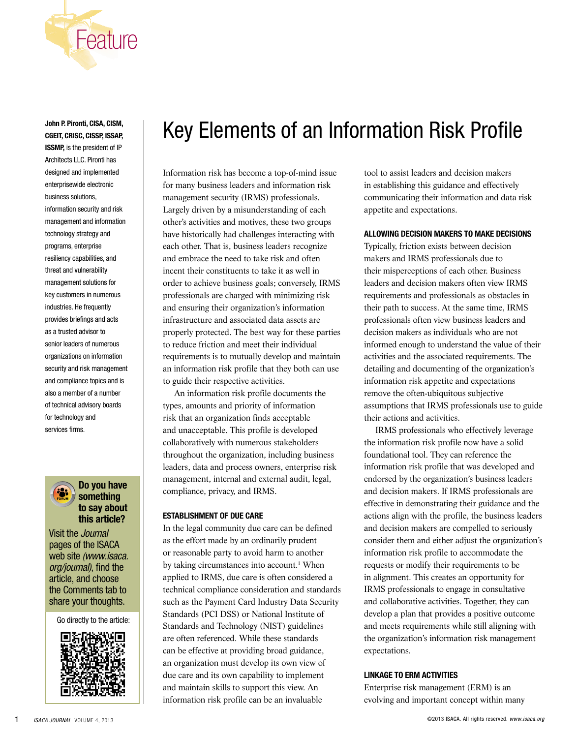

**John P. Pironti, CISA, CISM, CGEIT, CRISC, CISSP, ISSAP, ISSMP,** is the president of IP Architects LLC. Pironti has designed and implemented enterprisewide electronic business solutions, information security and risk management and information technology strategy and programs, enterprise resiliency capabilities, and threat and vulnerability management solutions for key customers in numerous industries. He frequently provides briefings and acts as a trusted advisor to senior leaders of numerous organizations on information security and risk management and compliance topics and is also a member of a number of technical advisory boards for technology and services firms.



## **Do you have something to say about this article?**

Visit the *Journal* pages of the ISACA web site *(www.isaca. org/journal)*, find the article, and choose the Comments tab to share your thoughts.

Go directly to the article:



# Key Elements of an Information Risk Profile

Information risk has become a top-of-mind issue for many business leaders and information risk management security (IRMS) professionals. Largely driven by a misunderstanding of each other's activities and motives, these two groups have historically had challenges interacting with each other. That is, business leaders recognize and embrace the need to take risk and often incent their constituents to take it as well in order to achieve business goals; conversely, IRMS professionals are charged with minimizing risk and ensuring their organization's information infrastructure and associated data assets are properly protected. The best way for these parties to reduce friction and meet their individual requirements is to mutually develop and maintain an information risk profile that they both can use to guide their respective activities.

An information risk profile documents the types, amounts and priority of information risk that an organization finds acceptable and unacceptable. This profile is developed collaboratively with numerous stakeholders throughout the organization, including business leaders, data and process owners, enterprise risk management, internal and external audit, legal, compliance, privacy, and IRMS.

### **Establishment of Due Care**

In the legal community due care can be defined as the effort made by an ordinarily prudent or reasonable party to avoid harm to another by taking circumstances into account.<sup>1</sup> When applied to IRMS, due care is often considered a technical compliance consideration and standards such as the Payment Card Industry Data Security Standards (PCI DSS) or National Institute of Standards and Technology (NIST) guidelines are often referenced. While these standards can be effective at providing broad guidance, an organization must develop its own view of due care and its own capability to implement and maintain skills to support this view. An information risk profile can be an invaluable

tool to assist leaders and decision makers in establishing this guidance and effectively communicating their information and data risk appetite and expectations.

#### **Allowing Decision Makers to Make Decisions**

Typically, friction exists between decision makers and IRMS professionals due to their misperceptions of each other. Business leaders and decision makers often view IRMS requirements and professionals as obstacles in their path to success. At the same time, IRMS professionals often view business leaders and decision makers as individuals who are not informed enough to understand the value of their activities and the associated requirements. The detailing and documenting of the organization's information risk appetite and expectations remove the often-ubiquitous subjective assumptions that IRMS professionals use to guide their actions and activities.

IRMS professionals who effectively leverage the information risk profile now have a solid foundational tool. They can reference the information risk profile that was developed and endorsed by the organization's business leaders and decision makers. If IRMS professionals are effective in demonstrating their guidance and the actions align with the profile, the business leaders and decision makers are compelled to seriously consider them and either adjust the organization's information risk profile to accommodate the requests or modify their requirements to be in alignment. This creates an opportunity for IRMS professionals to engage in consultative and collaborative activities. Together, they can develop a plan that provides a positive outcome and meets requirements while still aligning with the organization's information risk management expectations.

#### **Linkage to ERM Activities**

Enterprise risk management (ERM) is an evolving and important concept within many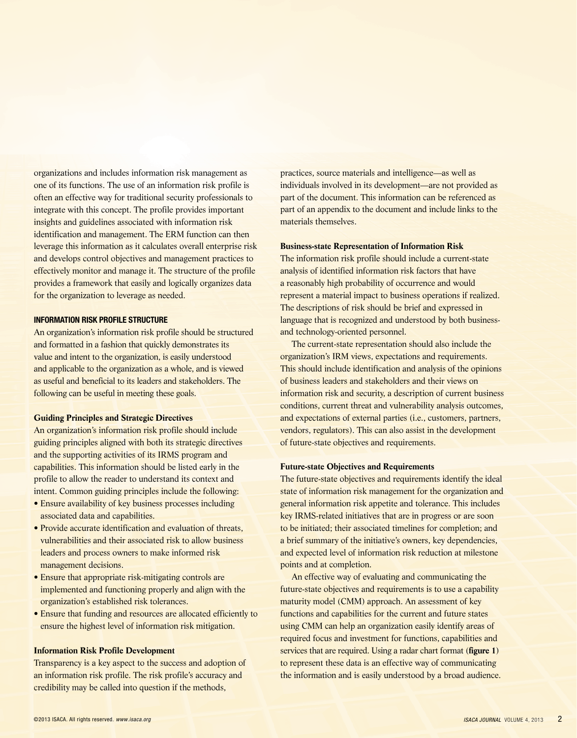organizations and includes information risk management as one of its functions. The use of an information risk profile is often an effective way for traditional security professionals to integrate with this concept. The profile provides important insights and guidelines associated with information risk identification and management. The ERM function can then leverage this information as it calculates overall enterprise risk and develops control objectives and management practices to effectively monitor and manage it. The structure of the profile provides a framework that easily and logically organizes data for the organization to leverage as needed.

#### **Information Risk Profile Structure**

An organization's information risk profile should be structured and formatted in a fashion that quickly demonstrates its value and intent to the organization, is easily understood and applicable to the organization as a whole, and is viewed as useful and beneficial to its leaders and stakeholders. The following can be useful in meeting these goals.

#### **Guiding Principles and Strategic Directives**

An organization's information risk profile should include guiding principles aligned with both its strategic directives and the supporting activities of its IRMS program and capabilities. This information should be listed early in the profile to allow the reader to understand its context and intent. Common guiding principles include the following:

- Ensure availability of key business processes including associated data and capabilities.
- Provide accurate identification and evaluation of threats, vulnerabilities and their associated risk to allow business leaders and process owners to make informed risk management decisions.
- Ensure that appropriate risk-mitigating controls are implemented and functioning properly and align with the organization's established risk tolerances.
- Ensure that funding and resources are allocated efficiently to ensure the highest level of information risk mitigation.

#### **Information Risk Profile Development**

Transparency is a key aspect to the success and adoption of an information risk profile. The risk profile's accuracy and credibility may be called into question if the methods,

practices, source materials and intelligence—as well as individuals involved in its development—are not provided as part of the document. This information can be referenced as part of an appendix to the document and include links to the materials themselves.

## **Business-state Representation of Information Risk**

The information risk profile should include a current-state analysis of identified information risk factors that have a reasonably high probability of occurrence and would represent a material impact to business operations if realized. The descriptions of risk should be brief and expressed in language that is recognized and understood by both businessand technology-oriented personnel.

The current-state representation should also include the organization's IRM views, expectations and requirements. This should include identification and analysis of the opinions of business leaders and stakeholders and their views on information risk and security, a description of current business conditions, current threat and vulnerability analysis outcomes, and expectations of external parties (i.e., customers, partners, vendors, regulators). This can also assist in the development of future-state objectives and requirements.

## **Future-state Objectives and Requirements**

The future-state objectives and requirements identify the ideal state of information risk management for the organization and general information risk appetite and tolerance. This includes key IRMS-related initiatives that are in progress or are soon to be initiated; their associated timelines for completion; and a brief summary of the initiative's owners, key dependencies, and expected level of information risk reduction at milestone points and at completion.

An effective way of evaluating and communicating the future-state objectives and requirements is to use a capability maturity model (CMM) approach. An assessment of key functions and capabilities for the current and future states using CMM can help an organization easily identify areas of required focus and investment for functions, capabilities and services that are required. Using a radar chart format (**figure 1**) to represent these data is an effective way of communicating the information and is easily understood by a broad audience.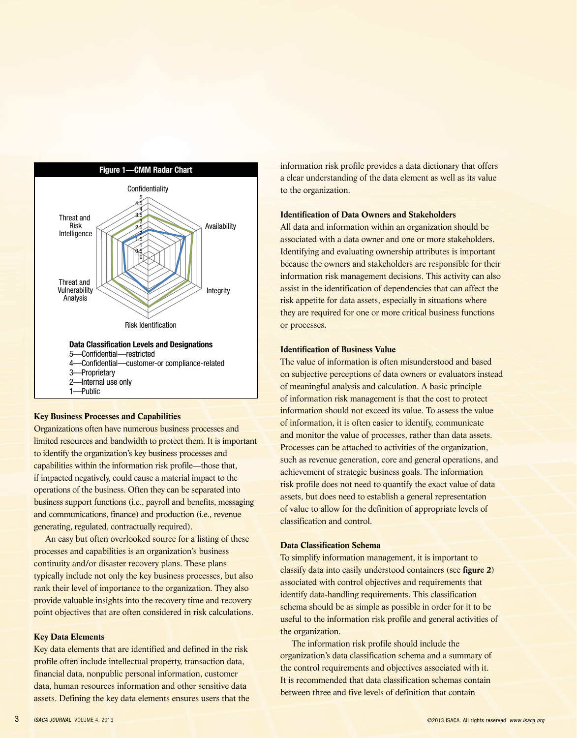

## **Key Business Processes and Capabilities**

Organizations often have numerous business processes and limited resources and bandwidth to protect them. It is important to identify the organization's key business processes and capabilities within the information risk profile—those that, if impacted negatively, could cause a material impact to the operations of the business. Often they can be separated into business support functions (i.e., payroll and benefits, messaging and communications, finance) and production (i.e., revenue generating, regulated, contractually required).

An easy but often overlooked source for a listing of these processes and capabilities is an organization's business continuity and/or disaster recovery plans. These plans typically include not only the key business processes, but also rank their level of importance to the organization. They also provide valuable insights into the recovery time and recovery point objectives that are often considered in risk calculations.

#### **Key Data Elements**

Key data elements that are identified and defined in the risk profile often include intellectual property, transaction data, financial data, nonpublic personal information, customer data, human resources information and other sensitive data assets. Defining the key data elements ensures users that the information risk profile provides a data dictionary that offers a clear understanding of the data element as well as its value to the organization.

## **Identification of Data Owners and Stakeholders**

All data and information within an organization should be associated with a data owner and one or more stakeholders. Identifying and evaluating ownership attributes is important because the owners and stakeholders are responsible for their information risk management decisions. This activity can also assist in the identification of dependencies that can affect the risk appetite for data assets, especially in situations where they are required for one or more critical business functions or processes.

## **Identification of Business Value**

The value of information is often misunderstood and based on subjective perceptions of data owners or evaluators instead of meaningful analysis and calculation. A basic principle of information risk management is that the cost to protect information should not exceed its value. To assess the value of information, it is often easier to identify, communicate and monitor the value of processes, rather than data assets. Processes can be attached to activities of the organization, such as revenue generation, core and general operations, and achievement of strategic business goals. The information risk profile does not need to quantify the exact value of data assets, but does need to establish a general representation of value to allow for the definition of appropriate levels of classification and control.

#### **Data Classification Schema**

To simplify information management, it is important to classify data into easily understood containers (see **figure 2**) associated with control objectives and requirements that identify data-handling requirements. This classification schema should be as simple as possible in order for it to be useful to the information risk profile and general activities of the organization.

The information risk profile should include the organization's data classification schema and a summary of the control requirements and objectives associated with it. It is recommended that data classification schemas contain between three and five levels of definition that contain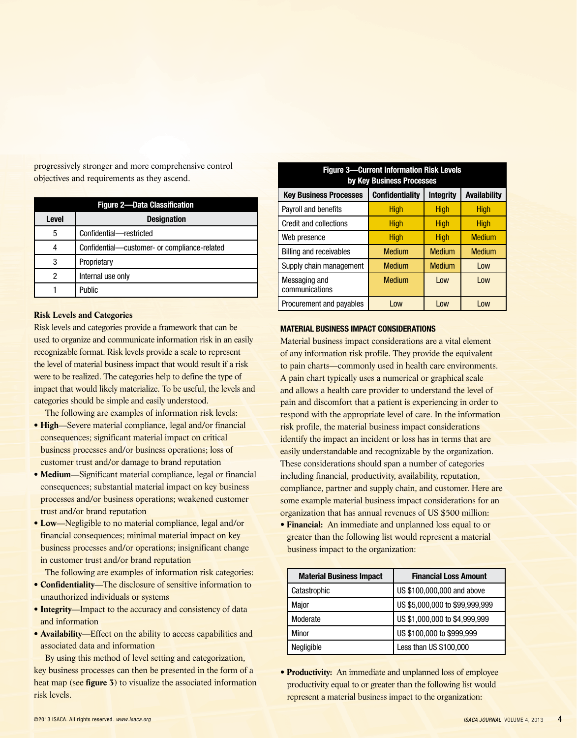progressively stronger and more comprehensive control objectives and requirements as they ascend.

| <b>Figure 2-Data Classification</b> |                                              |  |
|-------------------------------------|----------------------------------------------|--|
| <b>Level</b>                        | <b>Designation</b>                           |  |
| 5                                   | Confidential-restricted                      |  |
|                                     | Confidential-customer- or compliance-related |  |
| 3                                   | Proprietary                                  |  |
| 2                                   | Internal use only                            |  |
|                                     | Public                                       |  |

#### **Risk Levels and Categories**

Risk levels and categories provide a framework that can be used to organize and communicate information risk in an easily recognizable format. Risk levels provide a scale to represent the level of material business impact that would result if a risk were to be realized. The categories help to define the type of impact that would likely materialize. To be useful, the levels and categories should be simple and easily understood.

The following are examples of information risk levels:

- **High**—Severe material compliance, legal and/or financial consequences; significant material impact on critical business processes and/or business operations; loss of customer trust and/or damage to brand reputation
- **Medium**—Significant material compliance, legal or financial consequences; substantial material impact on key business processes and/or business operations; weakened customer trust and/or brand reputation
- **Low**—Negligible to no material compliance, legal and/or financial consequences; minimal material impact on key business processes and/or operations; insignificant change in customer trust and/or brand reputation

The following are examples of information risk categories:

- **Confidentiality**—The disclosure of sensitive information to unauthorized individuals or systems
- **Integrity**—Impact to the accuracy and consistency of data and information
- **Availability**—Effect on the ability to access capabilities and associated data and information

By using this method of level setting and categorization, key business processes can then be presented in the form of a heat map (see **figure 3**) to visualize the associated information risk levels.

| <b>Figure 3-Current Information Risk Levels</b><br>by Key Business Processes |                        |                  |                     |  |  |
|------------------------------------------------------------------------------|------------------------|------------------|---------------------|--|--|
| <b>Key Business Processes</b>                                                | <b>Confidentiality</b> | <b>Integrity</b> | <b>Availability</b> |  |  |
| Payroll and benefits                                                         | High                   | <b>High</b>      | <b>High</b>         |  |  |
| <b>Credit and collections</b>                                                | <b>High</b>            | <b>High</b>      | <b>High</b>         |  |  |
| Web presence                                                                 | <b>High</b>            | <b>High</b>      | <b>Medium</b>       |  |  |
| <b>Billing and receivables</b>                                               | <b>Medium</b>          | <b>Medium</b>    | <b>Medium</b>       |  |  |
| Supply chain management                                                      | <b>Medium</b>          | <b>Medium</b>    | Low                 |  |  |
| Messaging and<br>communications                                              | <b>Medium</b>          | Low              | Low                 |  |  |
| Procurement and payables                                                     | Low                    | Low              | l ow                |  |  |

### **Material Business Impact Considerations**

Material business impact considerations are a vital element of any information risk profile. They provide the equivalent to pain charts—commonly used in health care environments. A pain chart typically uses a numerical or graphical scale and allows a health care provider to understand the level of pain and discomfort that a patient is experiencing in order to respond with the appropriate level of care. In the information risk profile, the material business impact considerations identify the impact an incident or loss has in terms that are easily understandable and recognizable by the organization. These considerations should span a number of categories including financial, productivity, availability, reputation, compliance, partner and supply chain, and customer. Here are some example material business impact considerations for an organization that has annual revenues of US \$500 million:

• **Financial:** An immediate and unplanned loss equal to or greater than the following list would represent a material business impact to the organization:

| <b>Material Business Impact</b> | <b>Financial Loss Amount</b>   |
|---------------------------------|--------------------------------|
| Catastrophic                    | US \$100,000,000 and above     |
| Major                           | US \$5,000,000 to \$99,999,999 |
| Moderate                        | US \$1,000,000 to \$4,999,999  |
| Minor                           | US \$100,000 to \$999,999      |
| Negligible                      | Less than US \$100,000         |

• **Productivity:** An immediate and unplanned loss of employee productivity equal to or greater than the following list would represent a material business impact to the organization: